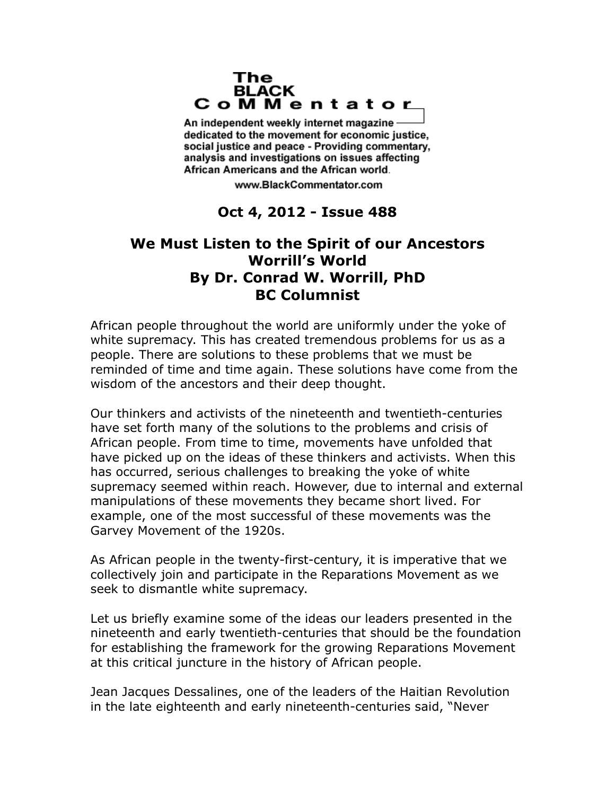## The **BLACK** CoMMentator

An independent weekly internet magazine dedicated to the movement for economic justice. social justice and peace - Providing commentary, analysis and investigations on issues affecting African Americans and the African world.

www.BlackCommentator.com

## **Oct 4, 2012 - Issue 488**

## **We Must Listen to the Spirit of our Ancestors Worrill's World By Dr. Conrad W. Worrill, PhD BC Columnist**

African people throughout the world are uniformly under the yoke of white supremacy. This has created tremendous problems for us as a people. There are solutions to these problems that we must be reminded of time and time again. These solutions have come from the wisdom of the ancestors and their deep thought.

Our thinkers and activists of the nineteenth and twentieth-centuries have set forth many of the solutions to the problems and crisis of African people. From time to time, movements have unfolded that have picked up on the ideas of these thinkers and activists. When this has occurred, serious challenges to breaking the yoke of white supremacy seemed within reach. However, due to internal and external manipulations of these movements they became short lived. For example, one of the most successful of these movements was the Garvey Movement of the 1920s.

As African people in the twenty-first-century, it is imperative that we collectively join and participate in the Reparations Movement as we seek to dismantle white supremacy.

Let us briefly examine some of the ideas our leaders presented in the nineteenth and early twentieth-centuries that should be the foundation for establishing the framework for the growing Reparations Movement at this critical juncture in the history of African people.

Jean Jacques Dessalines, one of the leaders of the Haitian Revolution in the late eighteenth and early nineteenth-centuries said, "Never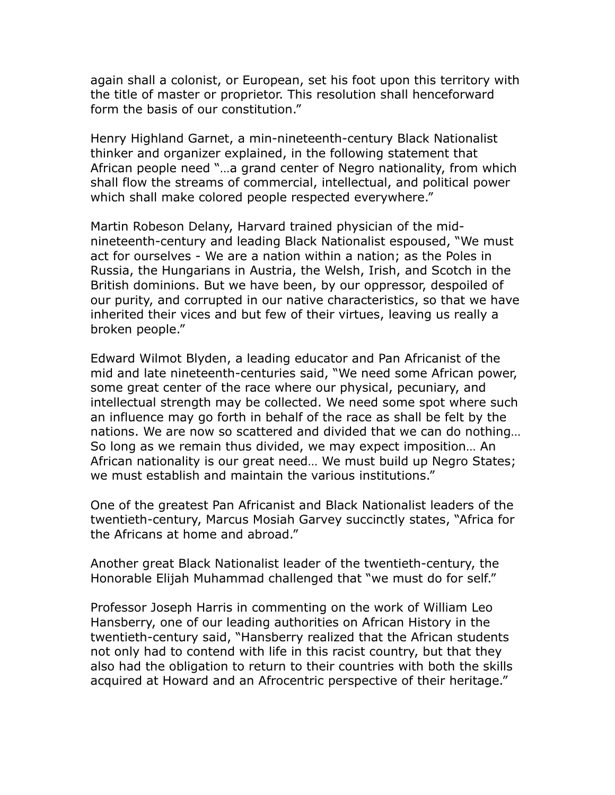again shall a colonist, or European, set his foot upon this territory with the title of master or proprietor. This resolution shall henceforward form the basis of our constitution."

Henry Highland Garnet, a min-nineteenth-century Black Nationalist thinker and organizer explained, in the following statement that African people need "…a grand center of Negro nationality, from which shall flow the streams of commercial, intellectual, and political power which shall make colored people respected everywhere."

Martin Robeson Delany, Harvard trained physician of the midnineteenth-century and leading Black Nationalist espoused, "We must act for ourselves - We are a nation within a nation; as the Poles in Russia, the Hungarians in Austria, the Welsh, Irish, and Scotch in the British dominions. But we have been, by our oppressor, despoiled of our purity, and corrupted in our native characteristics, so that we have inherited their vices and but few of their virtues, leaving us really a broken people."

Edward Wilmot Blyden, a leading educator and Pan Africanist of the mid and late nineteenth-centuries said, "We need some African power, some great center of the race where our physical, pecuniary, and intellectual strength may be collected. We need some spot where such an influence may go forth in behalf of the race as shall be felt by the nations. We are now so scattered and divided that we can do nothing… So long as we remain thus divided, we may expect imposition… An African nationality is our great need… We must build up Negro States; we must establish and maintain the various institutions."

One of the greatest Pan Africanist and Black Nationalist leaders of the twentieth-century, Marcus Mosiah Garvey succinctly states, "Africa for the Africans at home and abroad."

Another great Black Nationalist leader of the twentieth-century, the Honorable Elijah Muhammad challenged that "we must do for self."

Professor Joseph Harris in commenting on the work of William Leo Hansberry, one of our leading authorities on African History in the twentieth-century said, "Hansberry realized that the African students not only had to contend with life in this racist country, but that they also had the obligation to return to their countries with both the skills acquired at Howard and an Afrocentric perspective of their heritage."